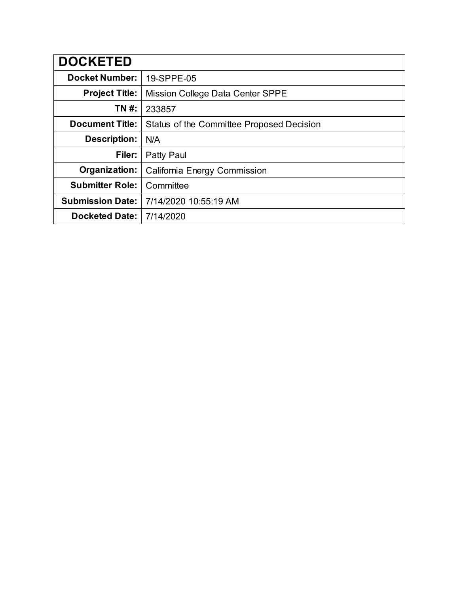| <b>DOCKETED</b>         |                                           |
|-------------------------|-------------------------------------------|
| <b>Docket Number:</b>   | 19-SPPE-05                                |
| <b>Project Title:</b>   | Mission College Data Center SPPE          |
| TN #:                   | 233857                                    |
| <b>Document Title:</b>  | Status of the Committee Proposed Decision |
| Description:            | N/A                                       |
| Filer:                  | Patty Paul                                |
| Organization:           | California Energy Commission              |
| <b>Submitter Role:</b>  | Committee                                 |
| <b>Submission Date:</b> | 7/14/2020 10:55:19 AM                     |
| <b>Docketed Date:</b>   | 7/14/2020                                 |